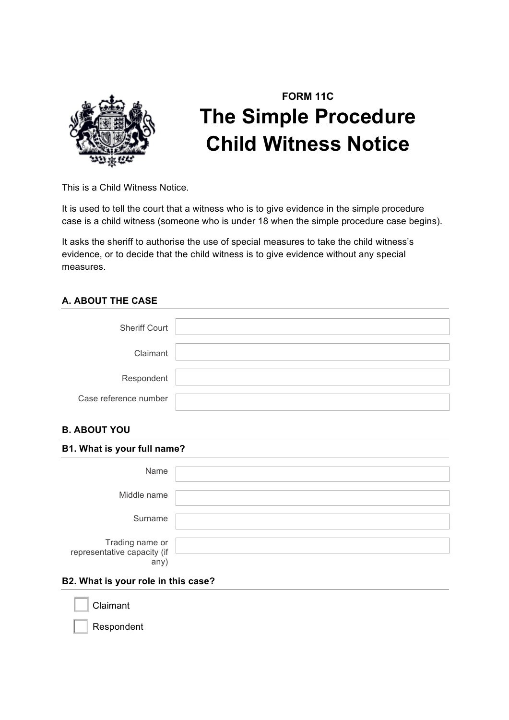

# **FORM 11C The Simple Procedure Child Witness Notice**

This is a Child Witness Notice.

It is used to tell the court that a witness who is to give evidence in the simple procedure case is a child witness (someone who is under 18 when the simple procedure case begins).

It asks the sheriff to authorise the use of special measures to take the child witness's evidence, or to decide that the child witness is to give evidence without any special measures.

### **A. ABOUT THE CASE**

| <b>Sheriff Court</b>  |  |
|-----------------------|--|
| Claimant              |  |
| Respondent            |  |
| Case reference number |  |

### **B. ABOUT YOU**

| B1. What is your full name?                            |  |  |
|--------------------------------------------------------|--|--|
| Name                                                   |  |  |
| Middle name                                            |  |  |
| Surname                                                |  |  |
| Trading name or<br>representative capacity (if<br>any) |  |  |

### **B2. What is your role in this case?**

**Claimant** 

Respondent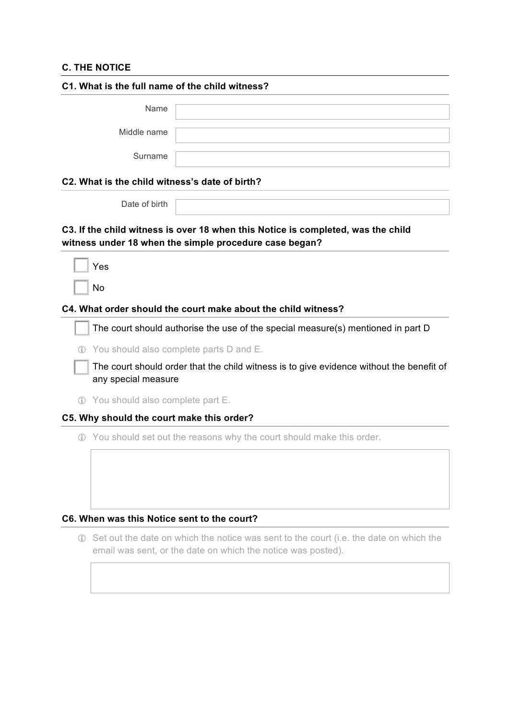### **C. THE NOTICE**

| C1. What is the full name of the child witness? |                                           |                                                                                                                                            |
|-------------------------------------------------|-------------------------------------------|--------------------------------------------------------------------------------------------------------------------------------------------|
|                                                 | Name                                      |                                                                                                                                            |
|                                                 | Middle name                               |                                                                                                                                            |
|                                                 | Surname                                   |                                                                                                                                            |
|                                                 |                                           | C2. What is the child witness's date of birth?                                                                                             |
|                                                 | Date of birth                             |                                                                                                                                            |
|                                                 |                                           | C3. If the child witness is over 18 when this Notice is completed, was the child<br>witness under 18 when the simple procedure case began? |
|                                                 | Yes                                       |                                                                                                                                            |
|                                                 | <b>No</b>                                 |                                                                                                                                            |
|                                                 |                                           | C4. What order should the court make about the child witness?                                                                              |
|                                                 |                                           | The court should authorise the use of the special measure(s) mentioned in part D                                                           |
| $\binom{3}{1}$                                  |                                           | You should also complete parts D and E.                                                                                                    |
|                                                 | any special measure                       | The court should order that the child witness is to give evidence without the benefit of                                                   |
|                                                 | 1 You should also complete part E.        |                                                                                                                                            |
|                                                 | C5. Why should the court make this order? |                                                                                                                                            |
|                                                 |                                           | 1 You should set out the reasons why the court should make this order.                                                                     |
|                                                 |                                           |                                                                                                                                            |
|                                                 |                                           |                                                                                                                                            |
|                                                 |                                           |                                                                                                                                            |
|                                                 |                                           | C6. When was this Notice sent to the court?                                                                                                |

! Set out the date on which the notice was sent to the court (i.e. the date on which the email was sent, or the date on which the notice was posted).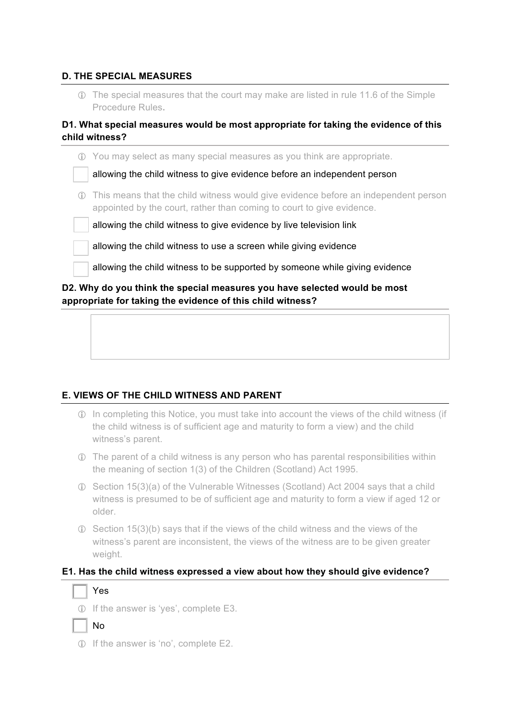### **D. THE SPECIAL MEASURES**

! The special measures that the court may make are listed in rule 11.6 of the Simple Procedure Rules**.**

### **D1. What special measures would be most appropriate for taking the evidence of this child witness?**

|     | 1) You may select as many special measures as you think are appropriate.                                                                                    |
|-----|-------------------------------------------------------------------------------------------------------------------------------------------------------------|
|     | allowing the child witness to give evidence before an independent person                                                                                    |
| (i) | This means that the child witness would give evidence before an independent person<br>appointed by the court, rather than coming to court to give evidence. |
|     | allowing the child witness to give evidence by live television link                                                                                         |
|     | allowing the child witness to use a screen while giving evidence                                                                                            |
|     | allowing the child witness to be supported by someone while giving evidence                                                                                 |
|     | D2. Why do you think the special measures you have selected would be most<br>appropriate for taking the evidence of this child witness?                     |

### **E. VIEWS OF THE CHILD WITNESS AND PARENT**

- ! In completing this Notice, you must take into account the views of the child witness (if the child witness is of sufficient age and maturity to form a view) and the child witness's parent.
- ! The parent of a child witness is any person who has parental responsibilities within the meaning of section 1(3) of the Children (Scotland) Act 1995.
- ! Section 15(3)(a) of the Vulnerable Witnesses (Scotland) Act 2004 says that a child witness is presumed to be of sufficient age and maturity to form a view if aged 12 or older.
- ! Section 15(3)(b) says that if the views of the child witness and the views of the witness's parent are inconsistent, the views of the witness are to be given greater weight.

### **E1. Has the child witness expressed a view about how they should give evidence?**

## Yes

! If the answer is 'yes', complete E3.

! If the answer is 'no', complete E2.